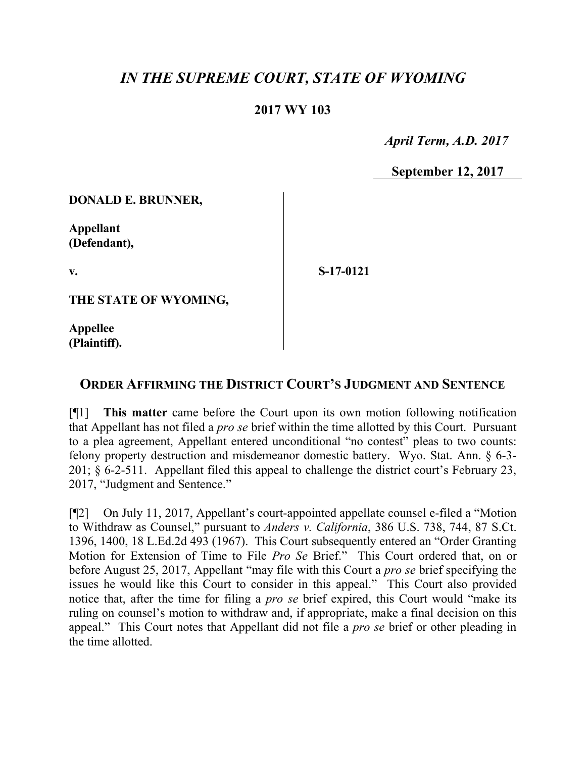## *IN THE SUPREME COURT, STATE OF WYOMING*

## **2017 WY 103**

 *April Term, A.D. 2017*

**September 12, 2017**

**DONALD E. BRUNNER,**

**Appellant (Defendant),**

**v.**

**S-17-0121**

**THE STATE OF WYOMING,**

**Appellee (Plaintiff).**

## **ORDER AFFIRMING THE DISTRICT COURT'S JUDGMENT AND SENTENCE**

[¶1] **This matter** came before the Court upon its own motion following notification that Appellant has not filed a *pro se* brief within the time allotted by this Court. Pursuant to a plea agreement, Appellant entered unconditional "no contest" pleas to two counts: felony property destruction and misdemeanor domestic battery. Wyo. Stat. Ann. § 6-3- 201; § 6-2-511. Appellant filed this appeal to challenge the district court's February 23, 2017, "Judgment and Sentence."

[¶2] On July 11, 2017, Appellant's court-appointed appellate counsel e-filed a "Motion to Withdraw as Counsel," pursuant to *Anders v. California*, 386 U.S. 738, 744, 87 S.Ct. 1396, 1400, 18 L.Ed.2d 493 (1967). This Court subsequently entered an "Order Granting Motion for Extension of Time to File *Pro Se* Brief." This Court ordered that, on or before August 25, 2017, Appellant "may file with this Court a *pro se* brief specifying the issues he would like this Court to consider in this appeal." This Court also provided notice that, after the time for filing a *pro se* brief expired, this Court would "make its ruling on counsel's motion to withdraw and, if appropriate, make a final decision on this appeal." This Court notes that Appellant did not file a *pro se* brief or other pleading in the time allotted.